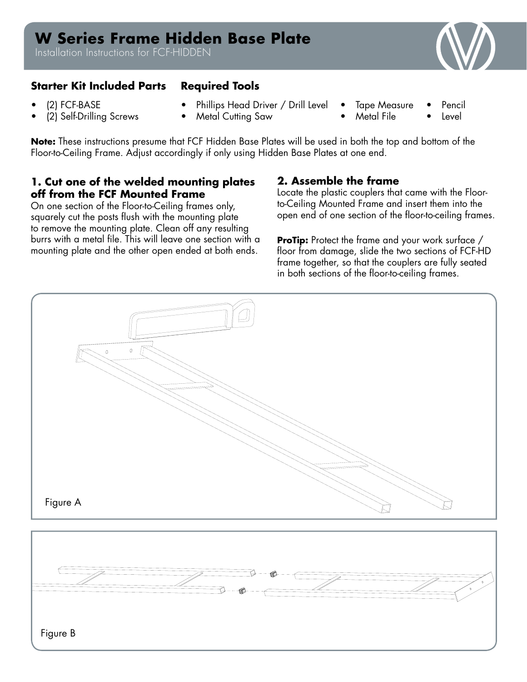# **W Series Frame Hidden Base Plate**

Installation Instructions for FCF-HIDDEN

# **Starter Kit Included Parts Required Tools**

- (2) FCF-BASE
- (2) Self-Drilling Screws
- Phillips Head Driver / Drill Level
- **Metal Cutting Saw**
- Tape Measure • Metal File
- Pencil • Level

**Note:** These instructions presume that FCF Hidden Base Plates will be used in both the top and bottom of the Floor-to-Ceiling Frame. Adjust accordingly if only using Hidden Base Plates at one end.

# **1. Cut one of the welded mounting plates off from the FCF Mounted Frame**

On one section of the Floor-to-Ceiling frames only, squarely cut the posts flush with the mounting plate to remove the mounting plate. Clean off any resulting burrs with a metal file. This will leave one section with a mounting plate and the other open ended at both ends.

## **2. Assemble the frame**

Locate the plastic couplers that came with the Floorto-Ceiling Mounted Frame and insert them into the open end of one section of the floor-to-ceiling frames.

**ProTip:** Protect the frame and your work surface / floor from damage, slide the two sections of FCF-HD frame together, so that the couplers are fully seated in both sections of the floor-to-ceiling frames.